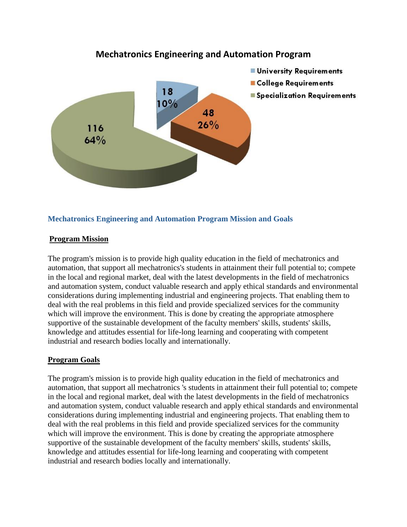

# **Mechatronics Engineering and Automation Program**

## **Mechatronics Engineering and Automation Program Mission and Goals**

## **Program Mission**

The program's mission is to provide high quality education in the field of mechatronics and automation, that support all mechatronics's students in attainment their full potential to; compete in the local and regional market, deal with the latest developments in the field of mechatronics and automation system, conduct valuable research and apply ethical standards and environmental considerations during implementing industrial and engineering projects. That enabling them to deal with the real problems in this field and provide specialized services for the community which will improve the environment. This is done by creating the appropriate atmosphere supportive of the sustainable development of the faculty members' skills, students' skills, knowledge and attitudes essential for life-long learning and cooperating with competent industrial and research bodies locally and internationally.

## **Program Goals**

The program's mission is to provide high quality education in the field of mechatronics and automation, that support all mechatronics 's students in attainment their full potential to; compete in the local and regional market, deal with the latest developments in the field of mechatronics and automation system, conduct valuable research and apply ethical standards and environmental considerations during implementing industrial and engineering projects. That enabling them to deal with the real problems in this field and provide specialized services for the community which will improve the environment. This is done by creating the appropriate atmosphere supportive of the sustainable development of the faculty members' skills, students' skills, knowledge and attitudes essential for life-long learning and cooperating with competent industrial and research bodies locally and internationally.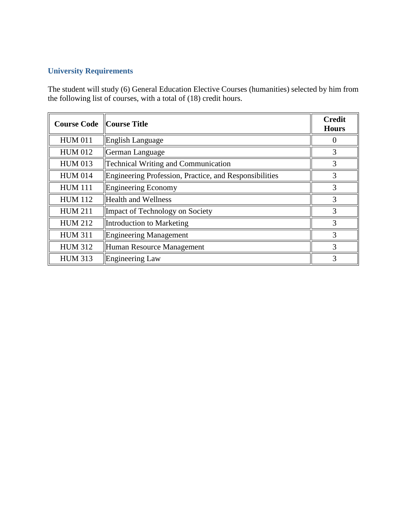# **University Requirements**

The student will study (6) General Education Elective Courses (humanities) selected by him from the following list of courses, with a total of (18) credit hours.

| <b>Course Code</b> Course Title |                                                        | <b>Credit</b><br><b>Hours</b> |
|---------------------------------|--------------------------------------------------------|-------------------------------|
| <b>HUM 011</b>                  | English Language                                       |                               |
| <b>HUM 012</b>                  | German Language                                        | 3                             |
| <b>HUM 013</b>                  | <b>Technical Writing and Communication</b>             | 3                             |
| <b>HUM 014</b>                  | Engineering Profession, Practice, and Responsibilities |                               |
| <b>HUM 111</b>                  | <b>Engineering Economy</b>                             | 3                             |
| <b>HUM 112</b>                  | <b>Health and Wellness</b>                             |                               |
| <b>HUM 211</b>                  | Impact of Technology on Society                        |                               |
| <b>HUM 212</b>                  | Introduction to Marketing                              | 3                             |
| <b>HUM 311</b>                  | <b>Engineering Management</b>                          | 3                             |
| <b>HUM 312</b>                  | Human Resource Management                              | 3                             |
| <b>HUM 313</b>                  | Engineering Law                                        | 3                             |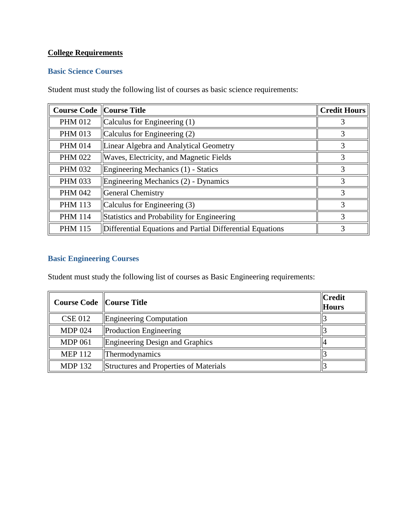# **College Requirements**

## **Basic Science Courses**

Student must study the following list of courses as basic science requirements:

| <b>Course Code Course Title</b> |                                                           | <b>Credit Hours</b> |
|---------------------------------|-----------------------------------------------------------|---------------------|
| <b>PHM 012</b>                  | Calculus for Engineering (1)                              |                     |
| <b>PHM 013</b>                  | Calculus for Engineering (2)                              | 3                   |
| <b>PHM 014</b>                  | Linear Algebra and Analytical Geometry                    | 3                   |
| <b>PHM 022</b>                  | Waves, Electricity, and Magnetic Fields                   |                     |
| <b>PHM 032</b>                  | Engineering Mechanics (1) - Statics                       | 3                   |
| <b>PHM 033</b>                  | Engineering Mechanics (2) - Dynamics                      | 3                   |
| <b>PHM 042</b>                  | <b>General Chemistry</b>                                  | 3                   |
| <b>PHM 113</b>                  | Calculus for Engineering (3)                              | 3                   |
| <b>PHM 114</b>                  | Statistics and Probability for Engineering                | 3                   |
| <b>PHM 115</b>                  | Differential Equations and Partial Differential Equations |                     |

# **Basic Engineering Courses**

Student must study the following list of courses as Basic Engineering requirements:

| <b>Course Code</b> Course Title |                                        | $\ $ Credit<br><b>Hours</b> |
|---------------------------------|----------------------------------------|-----------------------------|
| <b>CSE 012</b>                  | Engineering Computation                |                             |
| <b>MDP 024</b>                  | <b>Production Engineering</b>          |                             |
| <b>MDP 061</b>                  | Engineering Design and Graphics        |                             |
| <b>MEP 112</b>                  | Thermodynamics                         |                             |
| <b>MDP 132</b>                  | Structures and Properties of Materials |                             |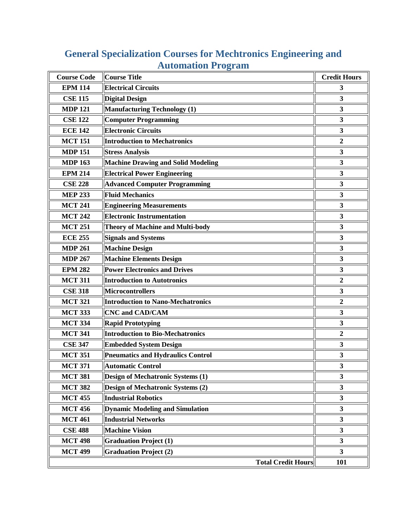| <b>Course Code</b> | Course Title                              | <b>Credit Hours</b>     |
|--------------------|-------------------------------------------|-------------------------|
| <b>EPM 114</b>     | <b>Electrical Circuits</b>                | 3                       |
| <b>CSE 115</b>     | <b>Digital Design</b>                     | 3                       |
| <b>MDP 121</b>     | Manufacturing Technology (1)              | 3                       |
| <b>CSE 122</b>     | <b>Computer Programming</b>               | $\mathbf{3}$            |
| <b>ECE 142</b>     | <b>Electronic Circuits</b>                | 3                       |
| <b>MCT 151</b>     | <b>Introduction to Mechatronics</b>       | $\mathbf{2}$            |
| <b>MDP 151</b>     | <b>Stress Analysis</b>                    | $\mathbf{3}$            |
| <b>MDP 163</b>     | <b>Machine Drawing and Solid Modeling</b> | 3                       |
| <b>EPM 214</b>     | <b>Electrical Power Engineering</b>       | 3                       |
| <b>CSE 228</b>     | <b>Advanced Computer Programming</b>      | $\mathbf{3}$            |
| <b>MEP 233</b>     | <b>Fluid Mechanics</b>                    | 3                       |
| <b>MCT 241</b>     | <b>Engineering Measurements</b>           | 3                       |
| <b>MCT 242</b>     | <b>Electronic Instrumentation</b>         | $\mathbf{3}$            |
| <b>MCT 251</b>     | <b>Theory of Machine and Multi-body</b>   | 3                       |
| <b>ECE 255</b>     | <b>Signals and Systems</b>                | $\mathbf{3}$            |
| <b>MDP 261</b>     | <b>Machine Design</b>                     | 3                       |
| <b>MDP 267</b>     | <b>Machine Elements Design</b>            | $\mathbf{3}$            |
| <b>EPM 282</b>     | <b>Power Electronics and Drives</b>       | $\mathbf{3}$            |
| <b>MCT 311</b>     | <b>Introduction to Autotronics</b>        | $\overline{2}$          |
| <b>CSE 318</b>     | Microcontrollers                          | 3                       |
| <b>MCT 321</b>     | <b>Introduction to Nano-Mechatronics</b>  | $\overline{2}$          |
| <b>MCT 333</b>     | <b>CNC and CAD/CAM</b>                    | 3                       |
| <b>MCT 334</b>     | <b>Rapid Prototyping</b>                  | 3                       |
| <b>MCT 341</b>     | <b>Introduction to Bio-Mechatronics</b>   | $\boldsymbol{2}$        |
| <b>CSE 347</b>     | <b>Embedded System Design</b>             | 3                       |
| <b>MCT 351</b>     | <b>Pneumatics and Hydraulics Control</b>  | 3                       |
| <b>MCT 371</b>     | <b>Automatic Control</b>                  | $\overline{\mathbf{3}}$ |
| <b>MCT 381</b>     | <b>Design of Mechatronic Systems (1)</b>  | $\mathbf{3}$            |
| <b>MCT 382</b>     | <b>Design of Mechatronic Systems (2)</b>  | 3                       |
| <b>MCT 455</b>     | <b>Industrial Robotics</b>                | 3                       |
| <b>MCT 456</b>     | <b>Dynamic Modeling and Simulation</b>    | $\mathbf{3}$            |
| <b>MCT 461</b>     | <b>Industrial Networks</b>                | $\mathbf{3}$            |
| <b>CSE 488</b>     | <b>Machine Vision</b>                     | $\overline{\mathbf{3}}$ |
| <b>MCT 498</b>     | <b>Graduation Project (1)</b>             | $\mathbf{3}$            |
| <b>MCT 499</b>     | <b>Graduation Project (2)</b>             | $\mathbf{3}$            |
|                    | <b>Total Credit Hours</b>                 | 101                     |

# **General Specialization Courses for Mechtronics Engineering and Automation Program**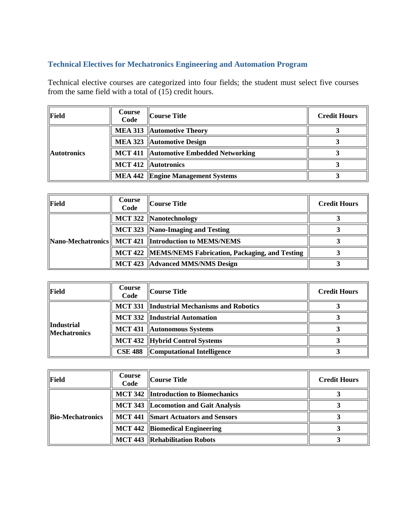# **Technical Electives for Mechatronics Engineering and Automation Program**

Technical elective courses are categorized into four fields; the student must select five courses from the same field with a total of (15) credit hours.

| Field              | Course<br>Code | Course Title                             | <b>Credit Hours</b> |
|--------------------|----------------|------------------------------------------|---------------------|
| <b>Autotronics</b> |                | <b>MEA 313 Automotive Theory</b>         |                     |
|                    |                | MEA 323 Automotive Design                |                     |
|                    |                | MCT 411   Automotive Embedded Networking |                     |
|                    |                | MCT 412   Autotronics                    |                     |
|                    |                | MEA 442 Engine Management Systems        |                     |

| Field | Course<br>Code | Course Title                                            | <b>Credit Hours</b> |
|-------|----------------|---------------------------------------------------------|---------------------|
|       |                | MCT 322  Nanotechnology                                 |                     |
|       |                | MCT 323  Nano-Imaging and Testing                       |                     |
|       |                | Nano-Mechatronics MCT 421  Introduction to MEMS/NEMS    |                     |
|       |                | MCT 422   MEMS/NEMS Fabrication, Packaging, and Testing |                     |
|       |                | MCT 423   Advanced MMS/NMS Design                       |                     |

| Field                             | Course<br>Code | Course Title                                       | <b>Credit Hours</b> |
|-----------------------------------|----------------|----------------------------------------------------|---------------------|
| Industrial<br><b>Mechatronics</b> |                | <b>MCT 331  Industrial Mechanisms and Robotics</b> |                     |
|                                   |                | MCT 332   Industrial Automation                    |                     |
|                                   |                | <b>MCT 431 Autonomous Systems</b>                  |                     |
|                                   |                | MCT 432  Hybrid Control Systems                    |                     |
|                                   |                | <b>CSE 488</b> Computational Intelligence          |                     |

| <b>Field</b>     | <b>Course</b><br>Code | Course Title                                 | <b>Credit Hours</b> |
|------------------|-----------------------|----------------------------------------------|---------------------|
| Bio-Mechatronics |                       | <b>MCT 342 Introduction to Biomechanics</b>  |                     |
|                  |                       | MCT 343   Locomotion and Gait Analysis       |                     |
|                  |                       | <b>MCT 441   Smart Actuators and Sensors</b> |                     |
|                  |                       | <b>MCT 442  Biomedical Engineering</b>       |                     |
|                  |                       | <b>MCT 443 Rehabilitation Robots</b>         |                     |